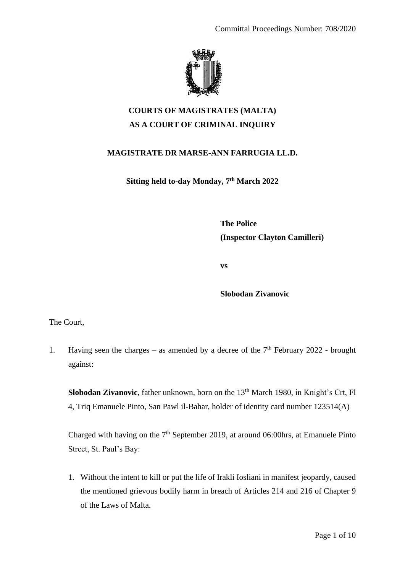

## **COURTS OF MAGISTRATES (MALTA) AS A COURT OF CRIMINAL INQUIRY**

## **MAGISTRATE DR MARSE-ANN FARRUGIA LL.D.**

**Sitting held to-day Monday, 7th March 2022**

**The Police (Inspector Clayton Camilleri)**

**vs**

**Slobodan Zivanovic**

The Court,

1. Having seen the charges – as amended by a decree of the  $7<sup>th</sup>$  February 2022 - brought against:

**Slobodan Zivanovic**, father unknown, born on the 13<sup>th</sup> March 1980, in Knight's Crt, Fl 4, Triq Emanuele Pinto, San Pawl il-Bahar, holder of identity card number 123514(A)

Charged with having on the  $7<sup>th</sup>$  September 2019, at around 06:00hrs, at Emanuele Pinto Street, St. Paul's Bay:

1. Without the intent to kill or put the life of Irakli Iosliani in manifest jeopardy, caused the mentioned grievous bodily harm in breach of Articles 214 and 216 of Chapter 9 of the Laws of Malta.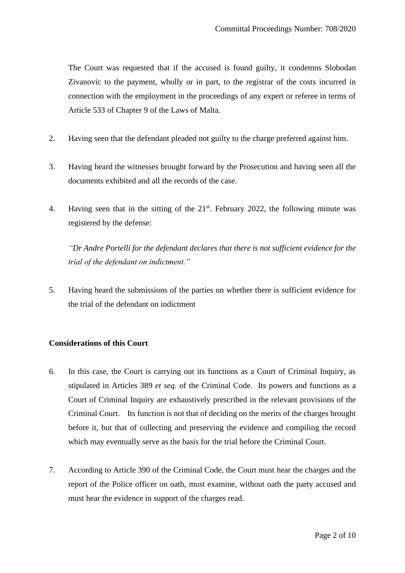The Court was requested that if the accused is found guilty, it condemns Slobodan Zivanovic to the payment, wholly or in part, to the registrar of the costs incurred in connection with the employment in the proceedings of any expert or referee in terms of Article 533 of Chapter 9 of the Laws of Malta.

- 2. Having seen that the defendant pleaded not guilty to the charge preferred against him.
- 3. Having heard the witnesses brought forward by the Prosecution and having seen all the documents exhibited and all the records of the case.
- 4. Having seen that in the sitting of the 21<sup>st</sup>. February 2022, the following minute was registered by the defense:

*"Dr Andre Portelli for the defendant declares that there is not sufficient evidence for the trial of the defendant on indictment."*

5. Having heard the submissions of the parties on whether there is sufficient evidence for the trial of the defendant on indictment

## **Considerations of this Court**

- 6. In this case, the Court is carrying out its functions as a Court of Criminal Inquiry, as stipulated in Articles 389 *et seq.* of the Criminal Code. Its powers and functions as a Court of Criminal Inquiry are exhaustively prescribed in the relevant provisions of the Criminal Court. Its function is not that of deciding on the merits of the charges brought before it, but that of collecting and preserving the evidence and compiling the record which may eventually serve as the basis for the trial before the Criminal Court.
- 7. According to Article 390 of the Criminal Code, the Court must hear the charges and the report of the Police officer on oath, must examine, without oath the party accused and must hear the evidence in support of the charges read.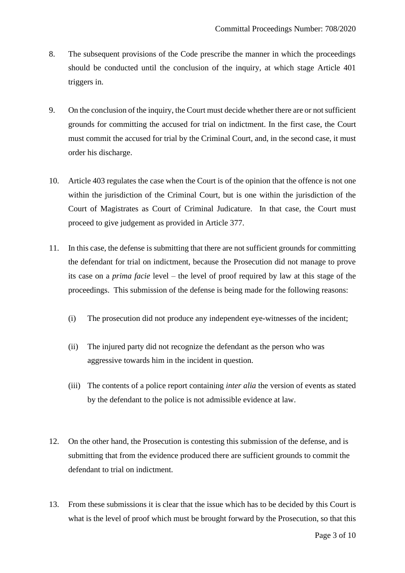- 8. The subsequent provisions of the Code prescribe the manner in which the proceedings should be conducted until the conclusion of the inquiry, at which stage Article 401 triggers in.
- 9. On the conclusion of the inquiry, the Court must decide whether there are or not sufficient grounds for committing the accused for trial on indictment. In the first case, the Court must commit the accused for trial by the Criminal Court, and, in the second case, it must order his discharge.
- 10. Article 403 regulates the case when the Court is of the opinion that the offence is not one within the jurisdiction of the Criminal Court, but is one within the jurisdiction of the Court of Magistrates as Court of Criminal Judicature. In that case, the Court must proceed to give judgement as provided in Article 377.
- 11. In this case, the defense is submitting that there are not sufficient grounds for committing the defendant for trial on indictment, because the Prosecution did not manage to prove its case on a *prima facie* level – the level of proof required by law at this stage of the proceedings. This submission of the defense is being made for the following reasons:
	- (i) The prosecution did not produce any independent eye-witnesses of the incident;
	- (ii) The injured party did not recognize the defendant as the person who was aggressive towards him in the incident in question.
	- (iii) The contents of a police report containing *inter alia* the version of events as stated by the defendant to the police is not admissible evidence at law.
- 12. On the other hand, the Prosecution is contesting this submission of the defense, and is submitting that from the evidence produced there are sufficient grounds to commit the defendant to trial on indictment.
- 13. From these submissions it is clear that the issue which has to be decided by this Court is what is the level of proof which must be brought forward by the Prosecution, so that this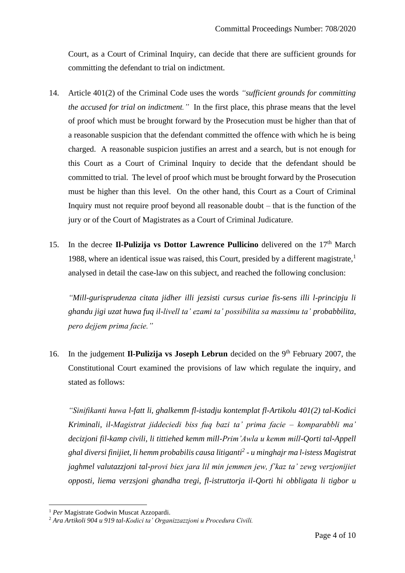Court, as a Court of Criminal Inquiry, can decide that there are sufficient grounds for committing the defendant to trial on indictment.

- 14. Article 401(2) of the Criminal Code uses the words *"sufficient grounds for committing the accused for trial on indictment."* In the first place, this phrase means that the level of proof which must be brought forward by the Prosecution must be higher than that of a reasonable suspicion that the defendant committed the offence with which he is being charged. A reasonable suspicion justifies an arrest and a search, but is not enough for this Court as a Court of Criminal Inquiry to decide that the defendant should be committed to trial. The level of proof which must be brought forward by the Prosecution must be higher than this level. On the other hand, this Court as a Court of Criminal Inquiry must not require proof beyond all reasonable doubt – that is the function of the jury or of the Court of Magistrates as a Court of Criminal Judicature.
- 15. In the decree **Il-Pulizija vs Dottor Lawrence Pullicino** delivered on the 17<sup>th</sup> March 1988, where an identical issue was raised, this Court, presided by a different magistrate, $<sup>1</sup>$ </sup> analysed in detail the case-law on this subject, and reached the following conclusion:

*"Mill-gurisprudenza citata jidher illi jezsisti cursus curiae fis-sens illi l-principju li ghandu jigi uzat huwa fuq il-livell ta' ezami ta' possibilita sa massimu ta' probabbilita, pero dejjem prima facie."*

16. In the judgement **Il-Pulizija vs Joseph Lebrun** decided on the 9<sup>th</sup> February 2007, the Constitutional Court examined the provisions of law which regulate the inquiry, and stated as follows:

*"Sinifikanti huwa l-fatt li, ghalkemm fl-istadju kontemplat fl-Artikolu 401(2) tal-Kodici Kriminali, il-Magistrat jiddeciedi biss fuq bazi ta' prima facie – komparabbli ma' decizjoni fil-kamp civili, li tittiehed kemm mill-Prim'Awla u kemm mill-Qorti tal-Appell ghal diversi finijiet, li hemm probabilis causa litiganti<sup>2</sup> - u minghajr ma l-istess Magistrat jaghmel valutazzjoni tal-provi biex jara lil min jemmen jew, f'kaz ta' zewg verzjonijiet opposti, liema verzsjoni ghandha tregi, fl-istruttorja il-Qorti hi obbligata li tigbor u* 

<sup>1</sup> *Per* Magistrate Godwin Muscat Azzopardi.

<sup>2</sup> *Ara Artikoli 904 u 919 tal-Kodici ta' Organizzazzjoni u Procedura Civili.*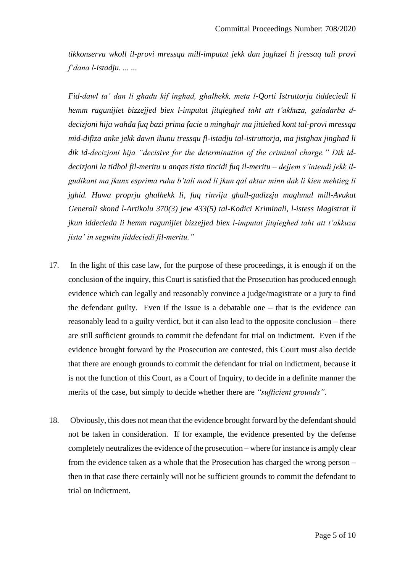*tikkonserva wkoll il-provi mressqa mill-imputat jekk dan jaghzel li jressaq tali provi f'dana l-istadju. ... ...*

*Fid-dawl ta' dan li ghadu kif inghad, ghalhekk, meta l-Qorti Istruttorja tiddeciedi li hemm ragunijiet bizzejjed biex l-imputat jitqieghed taht att t'akkuza, galadarba ddecizjoni hija wahda fuq bazi prima facie u minghajr ma jittiehed kont tal-provi mressqa mid-difiza anke jekk dawn ikunu tressqu fl-istadju tal-istruttorja, ma jistghax jinghad li dik id-decizjoni hija "decisive for the determination of the criminal charge." Dik iddecizjoni la tidhol fil-meritu u anqas tista tincidi fuq il-meritu – dejjem s'intendi jekk ilgudikant ma jkunx esprima ruhu b'tali mod li jkun qal aktar minn dak li kien mehtieg li jghid. Huwa proprju ghalhekk li, fuq rinviju ghall-gudizzju maghmul mill-Avukat Generali skond l-Artikolu 370(3) jew 433(5) tal-Kodici Kriminali, l-istess Magistrat li jkun iddecieda li hemm ragunijiet bizzejjed biex l-imputat jitqieghed taht att t'akkuza jista' in segwitu jiddeciedi fil-meritu."*

- 17. In the light of this case law, for the purpose of these proceedings, it is enough if on the conclusion of the inquiry, this Court is satisfied that the Prosecution has produced enough evidence which can legally and reasonably convince a judge/magistrate or a jury to find the defendant guilty. Even if the issue is a debatable one – that is the evidence can reasonably lead to a guilty verdict, but it can also lead to the opposite conclusion – there are still sufficient grounds to commit the defendant for trial on indictment. Even if the evidence brought forward by the Prosecution are contested, this Court must also decide that there are enough grounds to commit the defendant for trial on indictment, because it is not the function of this Court, as a Court of Inquiry, to decide in a definite manner the merits of the case, but simply to decide whether there are *"sufficient grounds"*.
- 18. Obviously, this does not mean that the evidence brought forward by the defendant should not be taken in consideration. If for example, the evidence presented by the defense completely neutralizes the evidence of the prosecution – where for instance is amply clear from the evidence taken as a whole that the Prosecution has charged the wrong person – then in that case there certainly will not be sufficient grounds to commit the defendant to trial on indictment.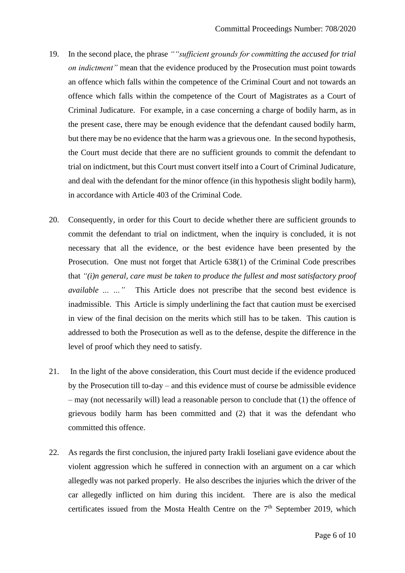- 19. In the second place, the phrase *""sufficient grounds for committing the accused for trial on indictment"* mean that the evidence produced by the Prosecution must point towards an offence which falls within the competence of the Criminal Court and not towards an offence which falls within the competence of the Court of Magistrates as a Court of Criminal Judicature. For example, in a case concerning a charge of bodily harm, as in the present case, there may be enough evidence that the defendant caused bodily harm, but there may be no evidence that the harm was a grievous one. In the second hypothesis, the Court must decide that there are no sufficient grounds to commit the defendant to trial on indictment, but this Court must convert itself into a Court of Criminal Judicature, and deal with the defendant for the minor offence (in this hypothesis slight bodily harm), in accordance with Article 403 of the Criminal Code.
- 20. Consequently, in order for this Court to decide whether there are sufficient grounds to commit the defendant to trial on indictment, when the inquiry is concluded, it is not necessary that all the evidence, or the best evidence have been presented by the Prosecution. One must not forget that Article 638(1) of the Criminal Code prescribes that *"(i)n general, care must be taken to produce the fullest and most satisfactory proof available … …"* This Article does not prescribe that the second best evidence is inadmissible. This Article is simply underlining the fact that caution must be exercised in view of the final decision on the merits which still has to be taken. This caution is addressed to both the Prosecution as well as to the defense, despite the difference in the level of proof which they need to satisfy.
- 21. In the light of the above consideration, this Court must decide if the evidence produced by the Prosecution till to-day – and this evidence must of course be admissible evidence – may (not necessarily will) lead a reasonable person to conclude that (1) the offence of grievous bodily harm has been committed and (2) that it was the defendant who committed this offence.
- 22. As regards the first conclusion, the injured party Irakli Ioseliani gave evidence about the violent aggression which he suffered in connection with an argument on a car which allegedly was not parked properly. He also describes the injuries which the driver of the car allegedly inflicted on him during this incident. There are is also the medical certificates issued from the Mosta Health Centre on the  $7<sup>th</sup>$  September 2019, which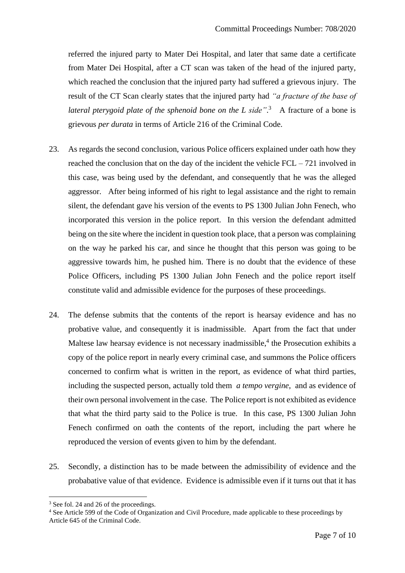referred the injured party to Mater Dei Hospital, and later that same date a certificate from Mater Dei Hospital, after a CT scan was taken of the head of the injured party, which reached the conclusion that the injured party had suffered a grievous injury. The result of the CT Scan clearly states that the injured party had *"a fracture of the base of*  lateral pterygoid plate of the sphenoid bone on the L side".<sup>3</sup> A fracture of a bone is grievous *per durata* in terms of Article 216 of the Criminal Code.

- 23. As regards the second conclusion, various Police officers explained under oath how they reached the conclusion that on the day of the incident the vehicle FCL – 721 involved in this case, was being used by the defendant, and consequently that he was the alleged aggressor. After being informed of his right to legal assistance and the right to remain silent, the defendant gave his version of the events to PS 1300 Julian John Fenech, who incorporated this version in the police report. In this version the defendant admitted being on the site where the incident in question took place, that a person was complaining on the way he parked his car, and since he thought that this person was going to be aggressive towards him, he pushed him. There is no doubt that the evidence of these Police Officers, including PS 1300 Julian John Fenech and the police report itself constitute valid and admissible evidence for the purposes of these proceedings.
- 24. The defense submits that the contents of the report is hearsay evidence and has no probative value, and consequently it is inadmissible. Apart from the fact that under Maltese law hearsay evidence is not necessary inadmissible, $4$  the Prosecution exhibits a copy of the police report in nearly every criminal case, and summons the Police officers concerned to confirm what is written in the report, as evidence of what third parties, including the suspected person, actually told them *a tempo vergine*, and as evidence of their own personal involvement in the case. The Police report is not exhibited as evidence that what the third party said to the Police is true. In this case, PS 1300 Julian John Fenech confirmed on oath the contents of the report, including the part where he reproduced the version of events given to him by the defendant.
- 25. Secondly, a distinction has to be made between the admissibility of evidence and the probabative value of that evidence. Evidence is admissible even if it turns out that it has

<sup>&</sup>lt;sup>3</sup> See fol. 24 and 26 of the proceedings.

<sup>4</sup> See Article 599 of the Code of Organization and Civil Procedure, made applicable to these proceedings by Article 645 of the Criminal Code.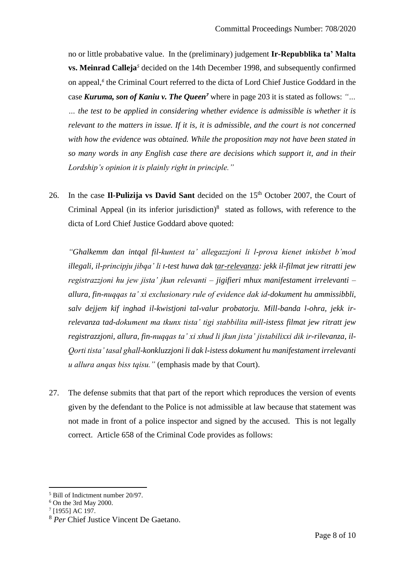no or little probabative value. In the (preliminary) judgement **Ir-Repubblika ta' Malta vs. Meinrad Calleja***<sup>5</sup>* decided on the 14th December 1998, and subsequently confirmed on appeal,*<sup>6</sup>* the Criminal Court referred to the dicta of Lord Chief Justice Goddard in the case *Kuruma, son of Kaniu v. The Queen<sup>7</sup>* where in page 203 it is stated as follows: *"… … the test to be applied in considering whether evidence is admissible is whether it is relevant to the matters in issue. If it is, it is admissible, and the court is not concerned with how the evidence was obtained. While the proposition may not have been stated in so many words in any English case there are decisions which support it, and in their Lordship's opinion it is plainly right in principle."*

26. In the case Il-Pulizija vs David Sant decided on the 15<sup>th</sup> October 2007, the Court of Criminal Appeal (in its inferior jurisdiction) $8$  stated as follows, with reference to the dicta of Lord Chief Justice Goddard above quoted:

*"Ghalkemm dan intqal fil-kuntest ta' allegazzjoni li l-prova kienet inkisbet b'mod illegali, il-principju jibqa' li t-test huwa dak tar-relevanza: jekk il-filmat jew ritratti jew registrazzjoni hu jew jista' jkun relevanti – jigifieri mhux manifestament irrelevanti – allura, fin-nuqqas ta' xi exclusionary rule of evidence dak id-dokument hu ammissibbli, salv dejjem kif inghad il-kwistjoni tal-valur probatorju. Mill-banda l-ohra, jekk irrelevanza tad-dokument ma tkunx tista' tigi stabbilita mill-istess filmat jew ritratt jew registrazzjoni, allura, fin-nuqqas ta' xi xhud li jkun jista' jistabilixxi dik ir-rilevanza, il-Qorti tista' tasal ghall-konkluzzjoni li dak l-istess dokument hu manifestament irrelevanti u allura anqas biss tqisu."* (emphasis made by that Court).

27. The defense submits that that part of the report which reproduces the version of events given by the defendant to the Police is not admissible at law because that statement was not made in front of a police inspector and signed by the accused. This is not legally correct. Article 658 of the Criminal Code provides as follows:

<sup>5</sup> Bill of Indictment number 20/97.

<sup>6</sup> On the 3rd May 2000.

<sup>7</sup> [1955] AC 197.

<sup>8</sup> *Per* Chief Justice Vincent De Gaetano.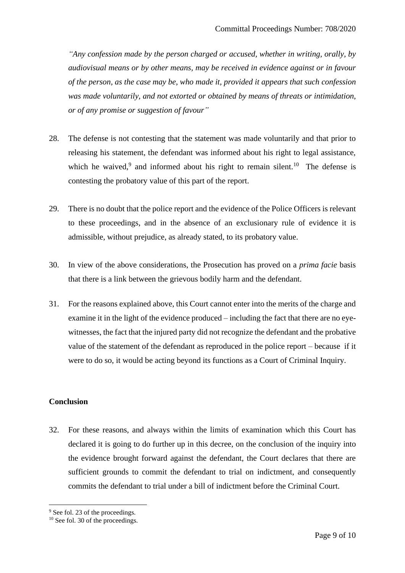*"Any confession made by the person charged or accused, whether in writing, orally, by audiovisual means or by other means, may be received in evidence against or in favour of the person, as the case may be, who made it, provided it appears that such confession was made voluntarily, and not extorted or obtained by means of threats or intimidation, or of any promise or suggestion of favour"*

- 28. The defense is not contesting that the statement was made voluntarily and that prior to releasing his statement, the defendant was informed about his right to legal assistance, which he waived,<sup>9</sup> and informed about his right to remain silent.<sup>10</sup> The defense is contesting the probatory value of this part of the report.
- 29. There is no doubt that the police report and the evidence of the Police Officers is relevant to these proceedings, and in the absence of an exclusionary rule of evidence it is admissible, without prejudice, as already stated, to its probatory value.
- 30. In view of the above considerations, the Prosecution has proved on a *prima facie* basis that there is a link between the grievous bodily harm and the defendant.
- 31. For the reasons explained above, this Court cannot enter into the merits of the charge and examine it in the light of the evidence produced – including the fact that there are no eyewitnesses, the fact that the injured party did not recognize the defendant and the probative value of the statement of the defendant as reproduced in the police report – because if it were to do so, it would be acting beyond its functions as a Court of Criminal Inquiry.

## **Conclusion**

32. For these reasons, and always within the limits of examination which this Court has declared it is going to do further up in this decree, on the conclusion of the inquiry into the evidence brought forward against the defendant, the Court declares that there are sufficient grounds to commit the defendant to trial on indictment, and consequently commits the defendant to trial under a bill of indictment before the Criminal Court.

<sup>&</sup>lt;sup>9</sup> See fol. 23 of the proceedings.

 $10$  See fol. 30 of the proceedings.